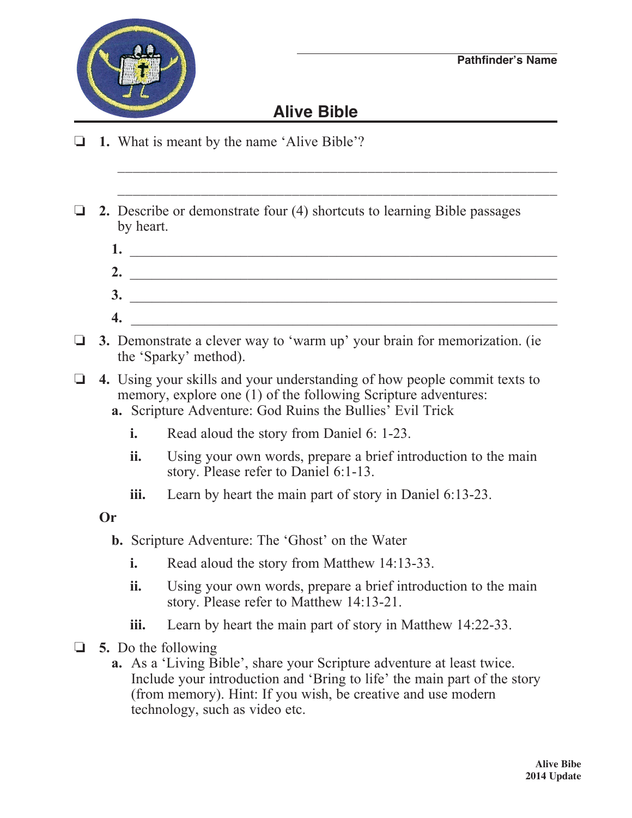

## **Alive Bible**

\_\_\_\_\_\_\_\_\_\_\_\_\_\_\_\_\_\_\_\_\_\_\_\_\_\_\_\_\_\_\_\_\_\_\_\_\_\_\_\_\_\_\_\_\_\_\_\_\_\_\_\_\_\_\_\_\_\_

- o **1.** What is meant by the name 'Alive Bible'?
- $\Box$  **2.** Describe or demonstrate four (4) shortcuts to learning Bible passages by heart.
	- **1.** \_\_\_\_\_\_\_\_\_\_\_\_\_\_\_\_\_\_\_\_\_\_\_\_\_\_\_\_\_\_\_\_\_\_\_\_\_\_\_\_\_\_\_\_\_\_\_\_\_\_\_\_\_\_\_\_\_\_ **2.** \_\_\_\_\_\_\_\_\_\_\_\_\_\_\_\_\_\_\_\_\_\_\_\_\_\_\_\_\_\_\_\_\_\_\_\_\_\_\_\_\_\_\_\_\_\_\_\_\_\_\_\_\_\_\_\_\_\_  **3.** \_\_\_\_\_\_\_\_\_\_\_\_\_\_\_\_\_\_\_\_\_\_\_\_\_\_\_\_\_\_\_\_\_\_\_\_\_\_\_\_\_\_\_\_\_\_\_\_\_\_\_\_\_\_\_\_\_\_ **4.** \_\_\_\_\_\_\_\_\_\_\_\_\_\_\_\_\_\_\_\_\_\_\_\_\_\_\_\_\_\_\_\_\_\_\_\_\_\_\_\_\_\_\_\_\_\_\_\_\_\_\_\_\_\_\_\_\_\_
- **3.** Demonstrate a clever way to 'warm up' your brain for memorization. (ie the 'Sparky' method).
- o **4.** Using your skills and your understanding of how people commit texts to memory, explore one (1) of the following Scripture adventures:
	- **a.** Scripture Adventure: God Ruins the Bullies' Evil Trick
		- **i.** Read aloud the story from Daniel 6: 1-23.
		- **ii.** Using your own words, prepare a brief introduction to the main story. Please refer to Daniel 6:1-13.
		- **iii.** Learn by heart the main part of story in Daniel 6:13-23.

**Or**

- **b.** Scripture Adventure: The 'Ghost' on the Water
	- **i.** Read aloud the story from Matthew 14:13-33.
	- **ii.** Using your own words, prepare a brief introduction to the main story. Please refer to Matthew 14:13-21.
	- **iii.** Learn by heart the main part of story in Matthew 14:22-33.
- o **5.** Do the following
	- **a.** As a 'Living Bible', share your Scripture adventure at least twice. Include your introduction and 'Bring to life' the main part of the story (from memory). Hint: If you wish, be creative and use modern technology, such as video etc.